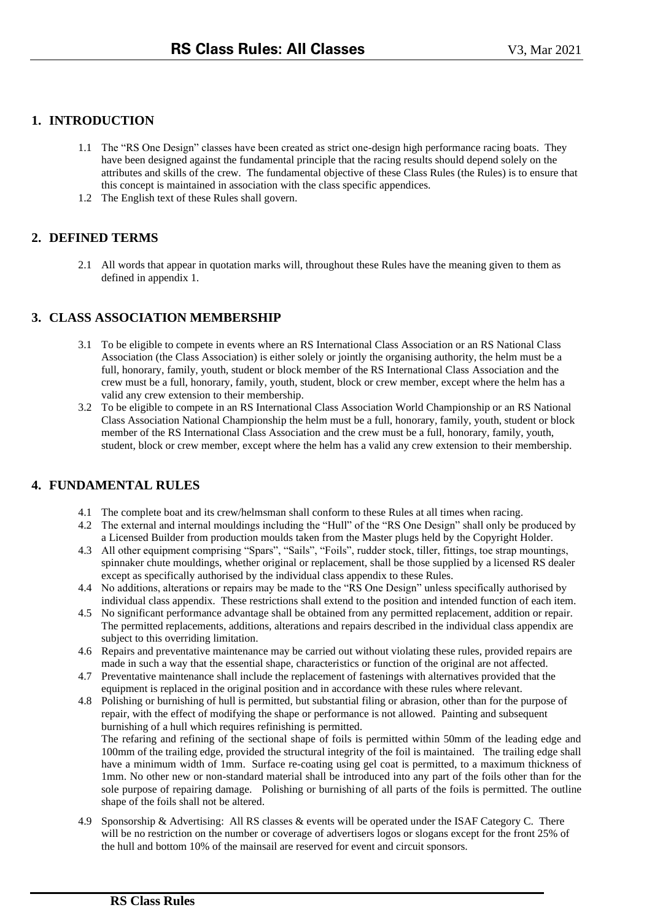# **1. INTRODUCTION**

- 1.1 The "RS One Design" classes have been created as strict one-design high performance racing boats. They have been designed against the fundamental principle that the racing results should depend solely on the attributes and skills of the crew. The fundamental objective of these Class Rules (the Rules) is to ensure that this concept is maintained in association with the class specific appendices.
- 1.2 The English text of these Rules shall govern.

## **2. DEFINED TERMS**

2.1 All words that appear in quotation marks will, throughout these Rules have the meaning given to them as defined in appendix 1.

## **3. CLASS ASSOCIATION MEMBERSHIP**

- 3.1 To be eligible to compete in events where an RS International Class Association or an RS National Class Association (the Class Association) is either solely or jointly the organising authority, the helm must be a full, honorary, family, youth, student or block member of the RS International Class Association and the crew must be a full, honorary, family, youth, student, block or crew member, except where the helm has a valid any crew extension to their membership.
- 3.2 To be eligible to compete in an RS International Class Association World Championship or an RS National Class Association National Championship the helm must be a full, honorary, family, youth, student or block member of the RS International Class Association and the crew must be a full, honorary, family, youth, student, block or crew member, except where the helm has a valid any crew extension to their membership.

#### **4. FUNDAMENTAL RULES**

- 4.1 The complete boat and its crew/helmsman shall conform to these Rules at all times when racing.
- 4.2 The external and internal mouldings including the "Hull" of the "RS One Design" shall only be produced by a Licensed Builder from production moulds taken from the Master plugs held by the Copyright Holder.
- 4.3 All other equipment comprising "Spars", "Sails", "Foils", rudder stock, tiller, fittings, toe strap mountings, spinnaker chute mouldings, whether original or replacement, shall be those supplied by a licensed RS dealer except as specifically authorised by the individual class appendix to these Rules.
- 4.4 No additions, alterations or repairs may be made to the "RS One Design" unless specifically authorised by individual class appendix. These restrictions shall extend to the position and intended function of each item.
- 4.5 No significant performance advantage shall be obtained from any permitted replacement, addition or repair. The permitted replacements, additions, alterations and repairs described in the individual class appendix are subject to this overriding limitation.
- 4.6 Repairs and preventative maintenance may be carried out without violating these rules, provided repairs are made in such a way that the essential shape, characteristics or function of the original are not affected.
- 4.7 Preventative maintenance shall include the replacement of fastenings with alternatives provided that the equipment is replaced in the original position and in accordance with these rules where relevant.
- 4.8 Polishing or burnishing of hull is permitted, but substantial filing or abrasion, other than for the purpose of repair, with the effect of modifying the shape or performance is not allowed. Painting and subsequent burnishing of a hull which requires refinishing is permitted. The refaring and refining of the sectional shape of foils is permitted within 50mm of the leading edge and 100mm of the trailing edge, provided the structural integrity of the foil is maintained. The trailing edge shall have a minimum width of 1mm. Surface re-coating using gel coat is permitted, to a maximum thickness of 1mm. No other new or non-standard material shall be introduced into any part of the foils other than for the sole purpose of repairing damage. Polishing or burnishing of all parts of the foils is permitted. The outline shape of the foils shall not be altered.
- 4.9 Sponsorship & Advertising: All RS classes & events will be operated under the ISAF Category C. There will be no restriction on the number or coverage of advertisers logos or slogans except for the front 25% of the hull and bottom 10% of the mainsail are reserved for event and circuit sponsors.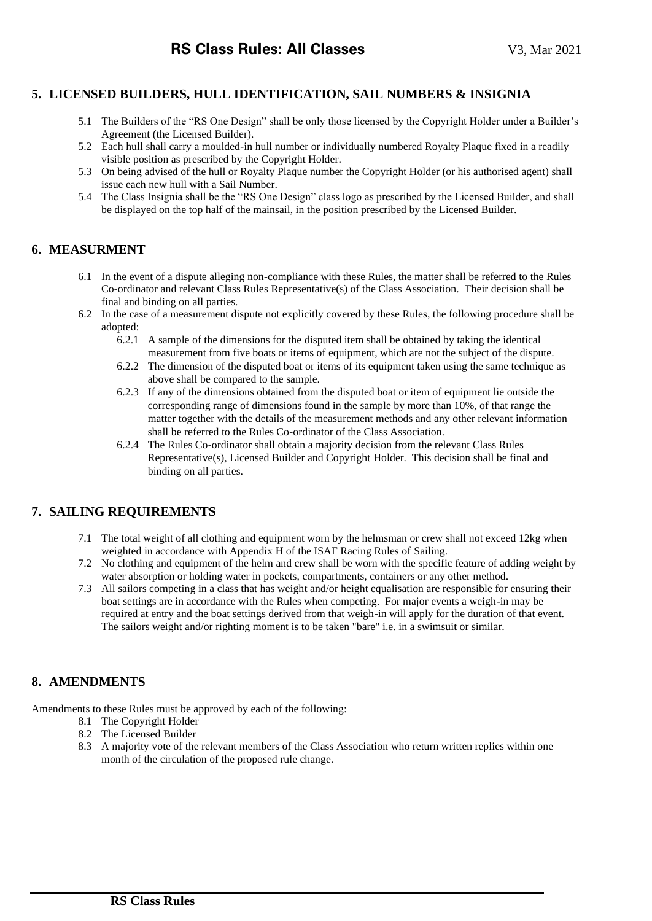## **5. LICENSED BUILDERS, HULL IDENTIFICATION, SAIL NUMBERS & INSIGNIA**

- 5.1 The Builders of the "RS One Design" shall be only those licensed by the Copyright Holder under a Builder's Agreement (the Licensed Builder).
- 5.2 Each hull shall carry a moulded-in hull number or individually numbered Royalty Plaque fixed in a readily visible position as prescribed by the Copyright Holder.
- 5.3 On being advised of the hull or Royalty Plaque number the Copyright Holder (or his authorised agent) shall issue each new hull with a Sail Number.
- 5.4 The Class Insignia shall be the "RS One Design" class logo as prescribed by the Licensed Builder, and shall be displayed on the top half of the mainsail, in the position prescribed by the Licensed Builder.

## **6. MEASURMENT**

- 6.1 In the event of a dispute alleging non-compliance with these Rules, the matter shall be referred to the Rules Co-ordinator and relevant Class Rules Representative(s) of the Class Association. Their decision shall be final and binding on all parties.
- 6.2 In the case of a measurement dispute not explicitly covered by these Rules, the following procedure shall be adopted:
	- 6.2.1 A sample of the dimensions for the disputed item shall be obtained by taking the identical measurement from five boats or items of equipment, which are not the subject of the dispute.
	- 6.2.2 The dimension of the disputed boat or items of its equipment taken using the same technique as above shall be compared to the sample.
	- 6.2.3 If any of the dimensions obtained from the disputed boat or item of equipment lie outside the corresponding range of dimensions found in the sample by more than 10%, of that range the matter together with the details of the measurement methods and any other relevant information shall be referred to the Rules Co-ordinator of the Class Association.
	- 6.2.4 The Rules Co-ordinator shall obtain a majority decision from the relevant Class Rules Representative(s), Licensed Builder and Copyright Holder. This decision shall be final and binding on all parties.

#### **7. SAILING REQUIREMENTS**

- 7.1 The total weight of all clothing and equipment worn by the helmsman or crew shall not exceed 12kg when weighted in accordance with Appendix H of the ISAF Racing Rules of Sailing.
- 7.2 No clothing and equipment of the helm and crew shall be worn with the specific feature of adding weight by water absorption or holding water in pockets, compartments, containers or any other method.
- 7.3 All sailors competing in a class that has weight and/or height equalisation are responsible for ensuring their boat settings are in accordance with the Rules when competing. For major events a weigh-in may be required at entry and the boat settings derived from that weigh-in will apply for the duration of that event. The sailors weight and/or righting moment is to be taken "bare" i.e. in a swimsuit or similar.

#### **8. AMENDMENTS**

Amendments to these Rules must be approved by each of the following:

- 8.1 The Copyright Holder
- 8.2 The Licensed Builder
- 8.3 A majority vote of the relevant members of the Class Association who return written replies within one month of the circulation of the proposed rule change.